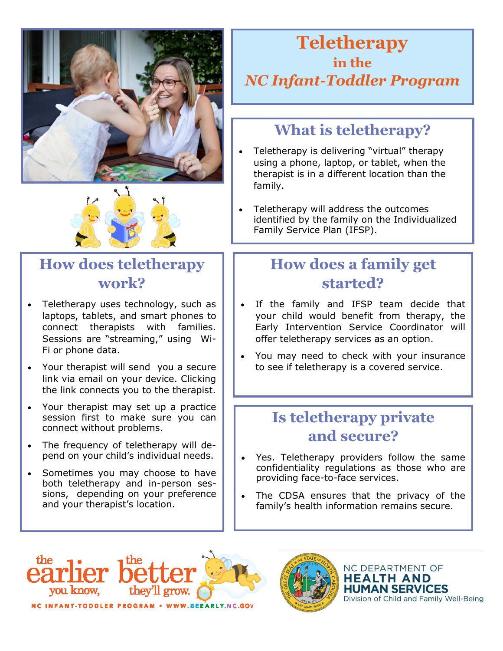



# **How does teletherapy work?**

- Teletherapy uses technology, such as laptops, tablets, and smart phones to connect therapists with families. Sessions are "streaming," using Wi-Fi or phone data.
- Your therapist will send you a secure link via email on your device. Clicking the link connects you to the therapist.
- Your therapist may set up a practice session first to make sure you can connect without problems.
- The frequency of teletherapy will depend on your child's individual needs.
- Sometimes you may choose to have both teletherapy and in-person sessions, depending on your preference and your therapist's location.

# **Teletherapy in the** *NC Infant-Toddler Program*

# **What is teletherapy?**

- Teletherapy is delivering "virtual" therapy using a phone, laptop, or tablet, when the therapist is in a different location than the family.
- Teletherapy will address the outcomes identified by the family on the Individualized Family Service Plan (IFSP).

# **How does a family get started?**

- If the family and IFSP team decide that your child would benefit from therapy, the Early Intervention Service Coordinator will offer teletherapy services as an option.
- You may need to check with your insurance to see if teletherapy is a covered service.

#### **Is teletherapy private and secure?**

- Yes. Teletherapy providers follow the same confidentiality regulations as those who are providing face-to-face services.
- The CDSA ensures that the privacy of the family's health information remains secure.



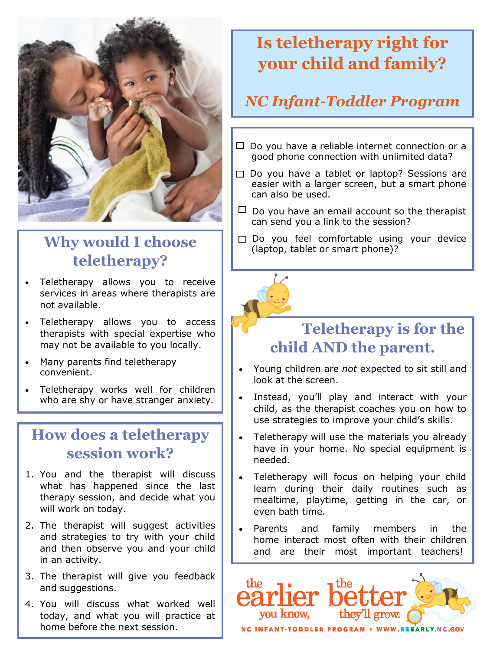

# **Why would I choose teletherapy?**

- Teletherapy allows you to receive services in areas where therapists are not available.
- Teletherapy allows you to access therapists with special expertise who may not be available to you locally.
- Many parents find teletherapy convenient.
- Teletherapy works well for children who are shy or have stranger anxiety.

#### **How does a teletherapy session work?**

- 1. You and the therapist will discuss what has happened since the last therapy session, and decide what you will work on today.
- 2. The therapist will suggest activities and strategies to try with your child and then observe you and your child in an activity.
- 3. The therapist will give you feedback and suggestions.
- 4. You will discuss what worked well today, and what you will practice at home before the next session.

# **Is teletherapy right for your child and family?**

# *NC Infant-Toddler Program*

- $\Box$  Do you have a reliable internet connection or a good phone connection with unlimited data?
- $\Box$  Do you have a tablet or laptop? Sessions are easier with a larger screen, but a smart phone can also be used.
- $\Box$  Do you have an email account so the therapist can send you a link to the session?
- □ Do you feel comfortable using your device (laptop, tablet or smart phone)?



## **Teletherapy is for the child AND the parent.**

- Young children are *not* expected to sit still and look at the screen.
- Instead, you'll play and interact with your child, as the therapist coaches you on how to use strategies to improve your child's skills.
- Teletherapy will use the materials you already have in your home. No special equipment is needed.
- Teletherapy will focus on helping your child learn during their daily routines such as mealtime, playtime, getting in the car, or even bath time.
- Parents and family members in the home interact most often with their children and are their most important teachers!